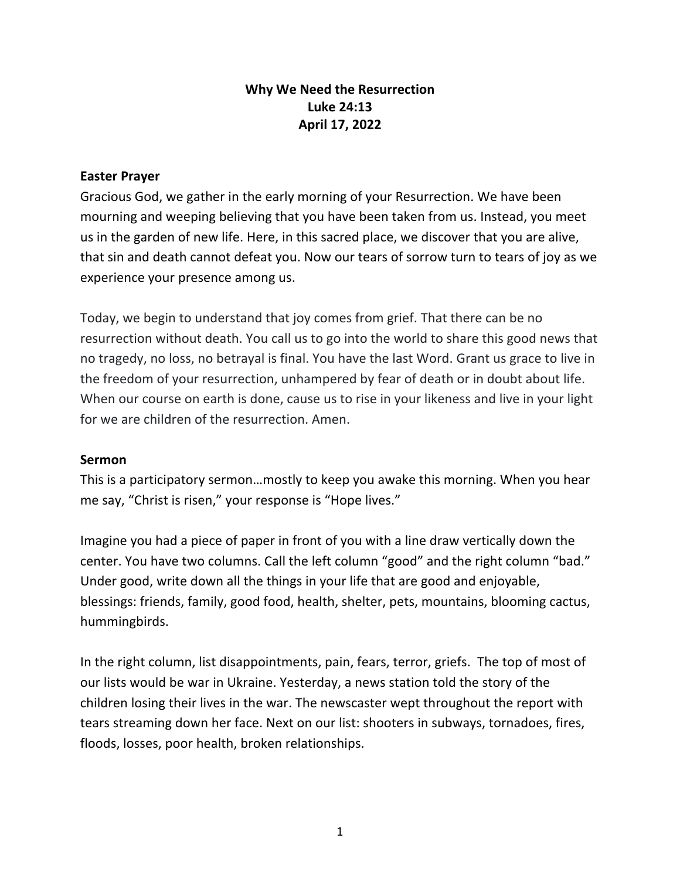## **Why We Need the Resurrection Luke 24:13 April 17, 2022**

## **Easter Prayer**

Gracious God, we gather in the early morning of your Resurrection. We have been mourning and weeping believing that you have been taken from us. Instead, you meet us in the garden of new life. Here, in this sacred place, we discover that you are alive, that sin and death cannot defeat you. Now our tears of sorrow turn to tears of joy as we experience your presence among us.

Today, we begin to understand that joy comes from grief. That there can be no resurrection without death. You call us to go into the world to share this good news that no tragedy, no loss, no betrayal is final. You have the last Word. Grant us grace to live in the freedom of your resurrection, unhampered by fear of death or in doubt about life. When our course on earth is done, cause us to rise in your likeness and live in your light for we are children of the resurrection. Amen.

## **Sermon**

This is a participatory sermon…mostly to keep you awake this morning. When you hear me say, "Christ is risen," your response is "Hope lives."

Imagine you had a piece of paper in front of you with a line draw vertically down the center. You have two columns. Call the left column "good" and the right column "bad." Under good, write down all the things in your life that are good and enjoyable, blessings: friends, family, good food, health, shelter, pets, mountains, blooming cactus, hummingbirds.

In the right column, list disappointments, pain, fears, terror, griefs. The top of most of our lists would be war in Ukraine. Yesterday, a news station told the story of the children losing their lives in the war. The newscaster wept throughout the report with tears streaming down her face. Next on our list: shooters in subways, tornadoes, fires, floods, losses, poor health, broken relationships.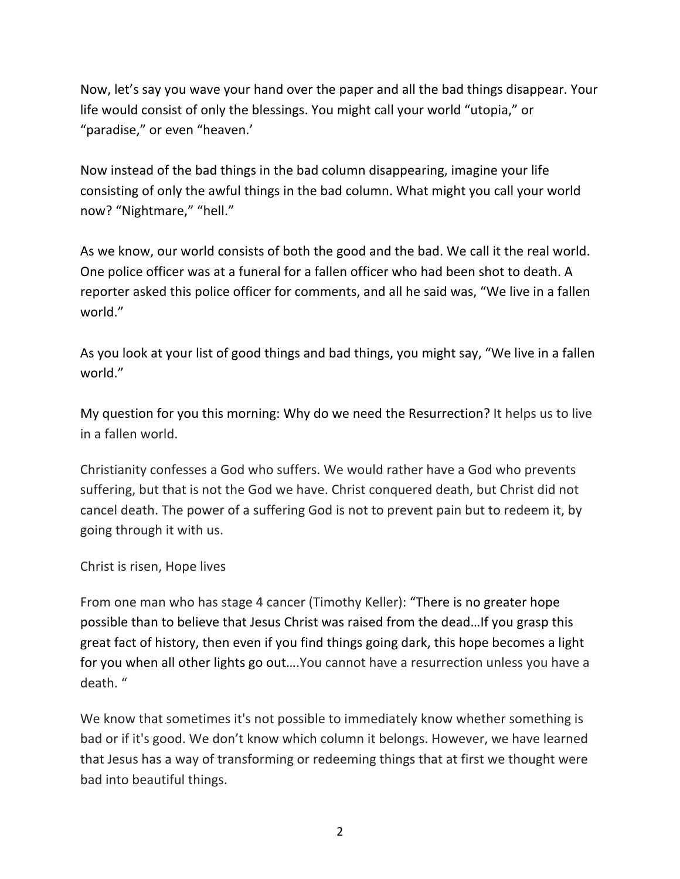Now, let's say you wave your hand over the paper and all the bad things disappear. Your life would consist of only the blessings. You might call your world "utopia," or "paradise," or even "heaven.'

Now instead of the bad things in the bad column disappearing, imagine your life consisting of only the awful things in the bad column. What might you call your world now? "Nightmare," "hell."

As we know, our world consists of both the good and the bad. We call it the real world. One police officer was at a funeral for a fallen officer who had been shot to death. A reporter asked this police officer for comments, and all he said was, "We live in a fallen world."

As you look at your list of good things and bad things, you might say, "We live in a fallen world."

My question for you this morning: Why do we need the Resurrection? It helps us to live in a fallen world.

Christianity confesses a God who suffers. We would rather have a God who prevents suffering, but that is not the God we have. Christ conquered death, but Christ did not cancel death. The power of a suffering God is not to prevent pain but to redeem it, by going through it with us.

Christ is risen, Hope lives

From one man who has stage 4 cancer (Timothy Keller): "There is no greater hope possible than to believe that Jesus Christ was raised from the dead…If you grasp this great fact of history, then even if you find things going dark, this hope becomes a light for you when all other lights go out….You cannot have a resurrection unless you have a death. "

We know that sometimes it's not possible to immediately know whether something is bad or if it's good. We don't know which column it belongs. However, we have learned that Jesus has a way of transforming or redeeming things that at first we thought were bad into beautiful things.

2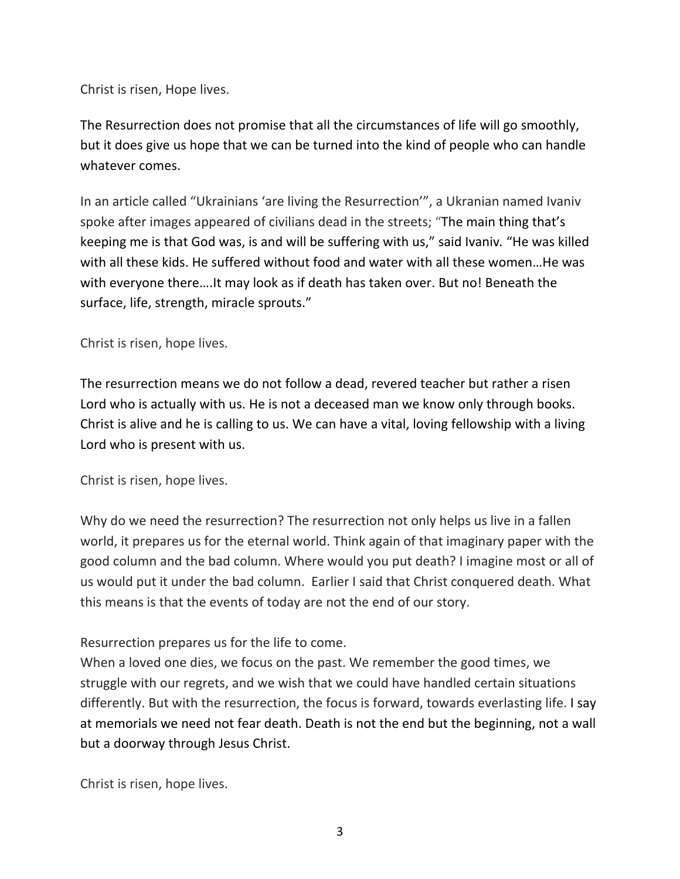Christ is risen, Hope lives.

The Resurrection does not promise that all the circumstances of life will go smoothly, but it does give us hope that we can be turned into the kind of people who can handle whatever comes.

In an article called "Ukrainians 'are living the Resurrection'", a Ukranian named Ivaniv spoke after images appeared of civilians dead in the streets; "The main thing that's keeping me is that God was, is and will be suffering with us," said Ivaniv*.* "He was killed with all these kids. He suffered without food and water with all these women…He was with everyone there….It may look as if death has taken over. But no! Beneath the surface, life, strength, miracle sprouts."

Christ is risen, hope lives.

The resurrection means we do not follow a dead, revered teacher but rather a risen Lord who is actually with us. He is not a deceased man we know only through books. Christ is alive and he is calling to us. We can have a vital, loving fellowship with a living Lord who is present with us.

Christ is risen, hope lives.

Why do we need the resurrection? The resurrection not only helps us live in a fallen world, it prepares us for the eternal world. Think again of that imaginary paper with the good column and the bad column. Where would you put death? I imagine most or all of us would put it under the bad column. Earlier I said that Christ conquered death. What this means is that the events of today are not the end of our story.

Resurrection prepares us for the life to come.

When a loved one dies, we focus on the past. We remember the good times, we struggle with our regrets, and we wish that we could have handled certain situations differently. But with the resurrection, the focus is forward, towards everlasting life. I say at memorials we need not fear death. Death is not the end but the beginning, not a wall but a doorway through Jesus Christ.

Christ is risen, hope lives.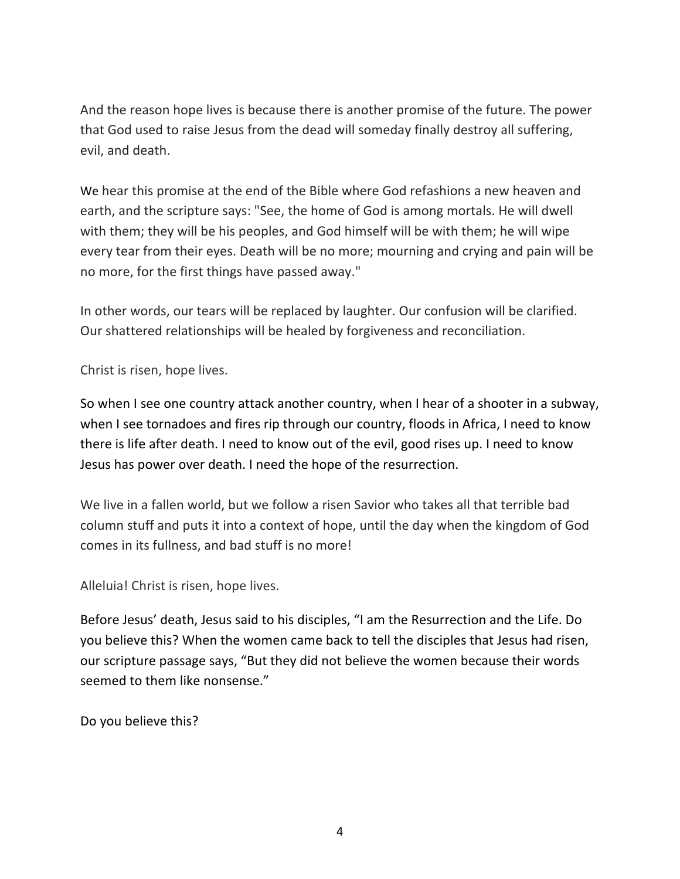And the reason hope lives is because there is another promise of the future. The power that God used to raise Jesus from the dead will someday finally destroy all suffering, evil, and death.

We hear this promise at the end of the Bible where God refashions a new heaven and earth, and the scripture says: "See, the home of God is among mortals. He will dwell with them; they will be his peoples, and God himself will be with them; he will wipe every tear from their eyes. Death will be no more; mourning and crying and pain will be no more, for the first things have passed away."

In other words, our tears will be replaced by laughter. Our confusion will be clarified. Our shattered relationships will be healed by forgiveness and reconciliation.

Christ is risen, hope lives.

So when I see one country attack another country, when I hear of a shooter in a subway, when I see tornadoes and fires rip through our country, floods in Africa, I need to know there is life after death. I need to know out of the evil, good rises up. I need to know Jesus has power over death. I need the hope of the resurrection.

We live in a fallen world, but we follow a risen Savior who takes all that terrible bad column stuff and puts it into a context of hope, until the day when the kingdom of God comes in its fullness, and bad stuff is no more!

Alleluia! Christ is risen, hope lives.

Before Jesus' death, Jesus said to his disciples, "I am the Resurrection and the Life. Do you believe this? When the women came back to tell the disciples that Jesus had risen, our scripture passage says, "But they did not believe the women because their words seemed to them like nonsense."

Do you believe this?